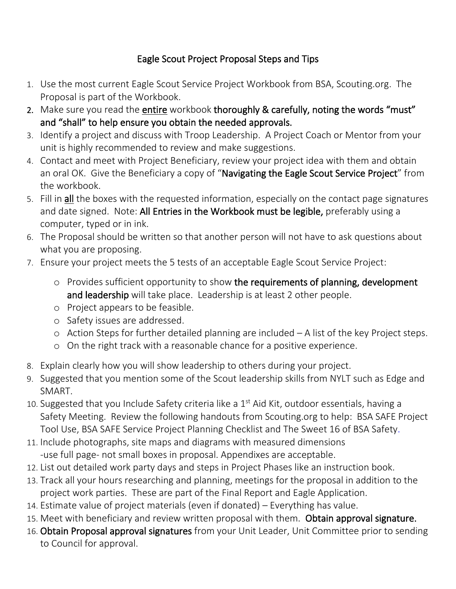## Eagle Scout Project Proposal Steps and Tips

- 1. Use the most current Eagle Scout Service Project Workbook from BSA, Scouting.org. The Proposal is part of the Workbook.
- 2. Make sure you read the entire workbook thoroughly & carefully, noting the words "must" and "shall" to help ensure you obtain the needed approvals.
- 3. Identify a project and discuss with Troop Leadership. A Project Coach or Mentor from your unit is highly recommended to review and make suggestions.
- 4. Contact and meet with Project Beneficiary, review your project idea with them and obtain an oral OK. Give the Beneficiary a copy of "Navigating the Eagle Scout Service Project" from the workbook.
- 5. Fill in all the boxes with the requested information, especially on the contact page signatures and date signed. Note: All Entries in the Workbook must be legible, preferably using a computer, typed or in ink.
- 6. The Proposal should be written so that another person will not have to ask questions about what you are proposing.
- 7. Ensure your project meets the 5 tests of an acceptable Eagle Scout Service Project:
	- o Provides sufficient opportunity to show the requirements of planning, development and leadership will take place. Leadership is at least 2 other people.
	- o Project appears to be feasible.
	- o Safety issues are addressed.
	- o Action Steps for further detailed planning are included A list of the key Project steps.
	- o On the right track with a reasonable chance for a positive experience.
- 8. Explain clearly how you will show leadership to others during your project.
- 9. Suggested that you mention some of the Scout leadership skills from NYLT such as Edge and SMART.
- 10. Suggested that you Include Safety criteria like a  $1<sup>st</sup>$  Aid Kit, outdoor essentials, having a Safety Meeting. Review the following handouts from Scouting.org to help: BSA SAFE Project Tool Use, BSA SAFE Service Project Planning Checklist and The Sweet 16 of BSA Safety.
- 11. Include photographs, site maps and diagrams with measured dimensions -use full page- not small boxes in proposal. Appendixes are acceptable.
- 12. List out detailed work party days and steps in Project Phases like an instruction book.
- 13. Track all your hours researching and planning, meetings for the proposal in addition to the project work parties. These are part of the Final Report and Eagle Application.
- 14. Estimate value of project materials (even if donated) Everything has value.
- 15. Meet with beneficiary and review written proposal with them. Obtain approval signature.
- 16. Obtain Proposal approval signatures from your Unit Leader, Unit Committee prior to sending to Council for approval.